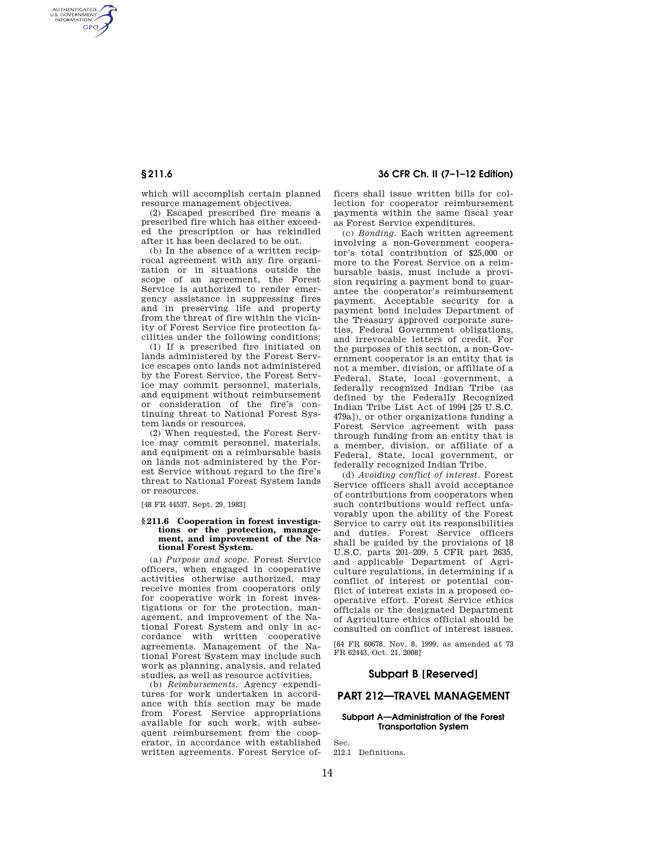AUTHENTICATED<br>U.S. GOVERNMENT<br>INFORMATION **GPO** 

**§ 211.6 36 CFR Ch. II (7–1–12 Edition)** 

which will accomplish certain planned resource management objectives.

(2) Escaped prescribed fire means a prescribed fire which has either exceeded the prescription or has rekindled after it has been declared to be out.

(b) In the absence of a written reciprocal agreement with any fire organization or in situations outside the scope of an agreement, the Forest Service is authorized to render emergency assistance in suppressing fires and in preserving life and property from the threat of fire within the vicinity of Forest Service fire protection facilities under the following conditions:

(1) If a prescribed fire initiated on lands administered by the Forest Service escapes onto lands not administered by the Forest Service, the Forest Service may commit personnel, materials, and equipment without reimbursement or consideration of the fire's continuing threat to National Forest System lands or resources.

(2) When requested, the Forest Service may commit personnel, materials, and equipment on a reimbursable basis on lands not administered by the Forest Service without regard to the fire's threat to National Forest System lands or resources.

[48 FR 44537, Sept. 29, 1983]

#### **§ 211.6 Cooperation in forest investigations or the protection, management, and improvement of the National Forest System.**

(a) *Purpose and scope.* Forest Service officers, when engaged in cooperative activities otherwise authorized, may receive monies from cooperators only for cooperative work in forest investigations or for the protection, management, and improvement of the National Forest System and only in accordance with written cooperative agreements. Management of the National Forest System may include such work as planning, analysis, and related studies, as well as resource activities.

(b) *Reimbursements.* Agency expenditures for work undertaken in accordance with this section may be made from Forest Service appropriations available for such work, with subsequent reimbursement from the cooperator, in accordance with established written agreements. Forest Service officers shall issue written bills for collection for cooperator reimbursement payments within the same fiscal year as Forest Service expenditures.

(c) *Bonding.* Each written agreement involving a non-Government cooperator's total contribution of \$25,000 or more to the Forest Service on a reimbursable basis, must include a provision requiring a payment bond to guarantee the cooperator's reimbursement payment. Acceptable security for a payment bond includes Department of the Treasury approved corporate sureties, Federal Government obligations, and irrevocable letters of credit. For the purposes of this section, a non-Government cooperator is an entity that is not a member, division, or affiliate of a Federal, State, local government, a federally recognized Indian Tribe (as defined by the Federally Recognized Indian Tribe List Act of 1994 [25 U.S.C. 479a]), or other organizations funding a Forest Service agreement with pass through funding from an entity that is a member, division, or affiliate of a Federal, State, local government, or federally recognized Indian Tribe.

(d) *Avoiding conflict of interest.* Forest Service officers shall avoid acceptance of contributions from cooperators when such contributions would reflect unfavorably upon the ability of the Forest Service to carry out its responsibilities and duties. Forest Service officers shall be guided by the provisions of 18 U.S.C. parts 201–209, 5 CFR part 2635, and applicable Department of Agriculture regulations, in determining if a conflict of interest or potential conflict of interest exists in a proposed cooperative effort. Forest Service ethics officials or the designated Department of Agriculture ethics official should be consulted on conflict of interest issues.

[64 FR 60678, Nov. 8, 1999, as amended at 73 FR 62443, Oct. 21, 2008]

# **Subpart B [Reserved]**

# **PART 212—TRAVEL MANAGEMENT**

# **Subpart A—Administration of the Forest Transportation System**

212.1 Definitions.

Sec.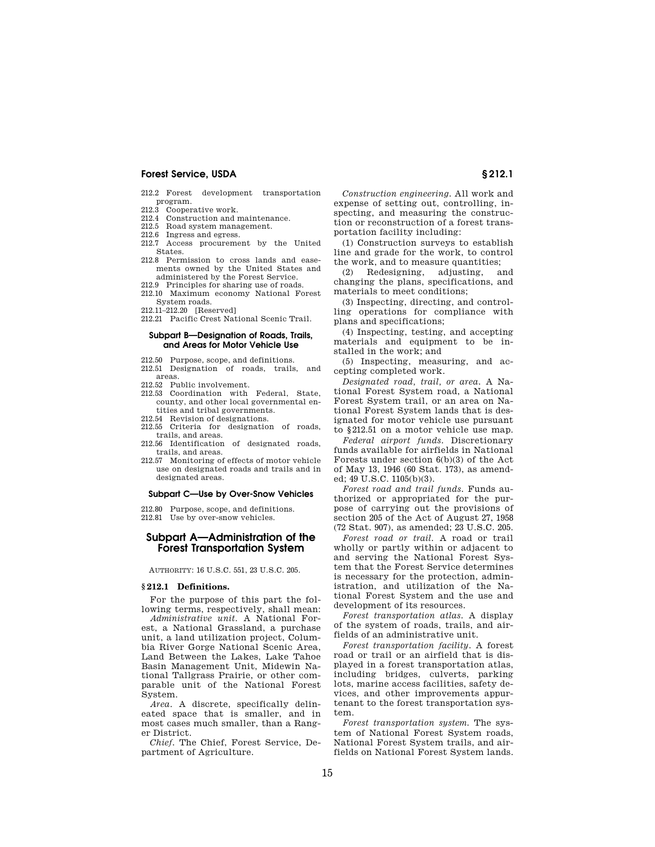- 212.2 Forest development transportation program.<br>212.3 Cooper
- Cooperative work.
- 212.4 Construction and maintenance.
- 212.5 Road system management.
- 212.6 Ingress and egress. 212.7 Access procurement by the United
- States.
- 212.8 Permission to cross lands and easements owned by the United States and administered by the Forest Service.
- 212.9 Principles for sharing use of roads. 212.10 Maximum economy National Forest System roads.
- 212.11–212.20 [Reserved]
- 212.21 Pacific Crest National Scenic Trail.

## **Subpart B—Designation of Roads, Trails, and Areas for Motor Vehicle Use**

- 212.50 Purpose, scope, and definitions.
- 212.51 Designation of roads, trails, and areas.
- 212.52 Public involvement.
- 212.53 Coordination with Federal, State, county, and other local governmental entities and tribal governments.
- 212.54 Revision of designations.
- 212.55 Criteria for designation of roads, trails, and areas.
- 212.56 Identification of designated roads, trails, and areas.
- 212.57 Monitoring of effects of motor vehicle use on designated roads and trails and in designated areas.

#### **Subpart C—Use by Over-Snow Vehicles**

212.80 Purpose, scope, and definitions. 212.81 Use by over-snow vehicles.

# **Subpart A—Administration of the Forest Transportation System**

AUTHORITY: 16 U.S.C. 551, 23 U.S.C. 205.

## **§ 212.1 Definitions.**

For the purpose of this part the following terms, respectively, shall mean:

*Administrative unit.* A National Forest, a National Grassland, a purchase unit, a land utilization project, Columbia River Gorge National Scenic Area, Land Between the Lakes, Lake Tahoe Basin Management Unit, Midewin National Tallgrass Prairie, or other comparable unit of the National Forest System.

*Area*. A discrete, specifically delineated space that is smaller, and in most cases much smaller, than a Ranger District.

*Chief.* The Chief, Forest Service, Department of Agriculture.

*Construction engineering.* All work and expense of setting out, controlling, inspecting, and measuring the construction or reconstruction of a forest transportation facility including:

(1) Construction surveys to establish line and grade for the work, to control the work, and to measure quantities;

(2) Redesigning, adjusting, and changing the plans, specifications, and materials to meet conditions;

(3) Inspecting, directing, and controlling operations for compliance with plans and specifications;

(4) Inspecting, testing, and accepting materials and equipment to be installed in the work; and

(5) Inspecting, measuring, and accepting completed work.

*Designated road, trail, or area.* A National Forest System road, a National Forest System trail, or an area on National Forest System lands that is designated for motor vehicle use pursuant to §212.51 on a motor vehicle use map.

*Federal airport funds.* Discretionary funds available for airfields in National Forests under section 6(b)(3) of the Act of May 13, 1946 (60 Stat. 173), as amended; 49 U.S.C. 1105(b)(3).

*Forest road and trail funds.* Funds authorized or appropriated for the purpose of carrying out the provisions of section 205 of the Act of August 27, 1958 (72 Stat. 907), as amended; 23 U.S.C. 205.

*Forest road or trail.* A road or trail wholly or partly within or adjacent to and serving the National Forest System that the Forest Service determines is necessary for the protection, administration, and utilization of the National Forest System and the use and development of its resources.

*Forest transportation atlas.* A display of the system of roads, trails, and airfields of an administrative unit.

*Forest transportation facility.* A forest road or trail or an airfield that is displayed in a forest transportation atlas, including bridges, culverts, parking lots, marine access facilities, safety devices, and other improvements appurtenant to the forest transportation system.

*Forest transportation system.* The system of National Forest System roads, National Forest System trails, and airfields on National Forest System lands.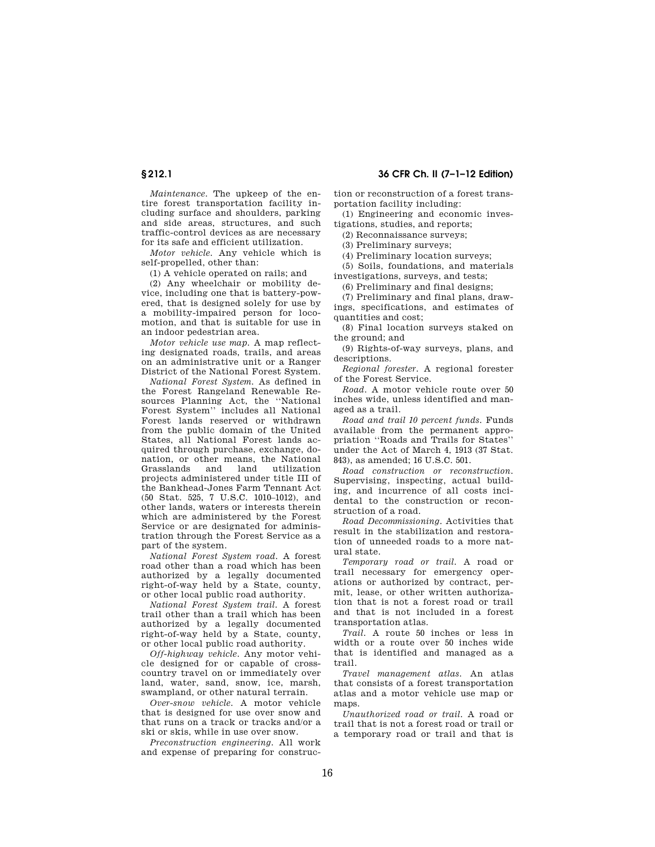*Maintenance.* The upkeep of the entire forest transportation facility including surface and shoulders, parking and side areas, structures, and such traffic-control devices as are necessary for its safe and efficient utilization.

*Motor vehicle.* Any vehicle which is self-propelled, other than:

(1) A vehicle operated on rails; and

(2) Any wheelchair or mobility device, including one that is battery-powered, that is designed solely for use by a mobility-impaired person for locomotion, and that is suitable for use in an indoor pedestrian area.

*Motor vehicle use map.* A map reflecting designated roads, trails, and areas on an administrative unit or a Ranger District of the National Forest System.

*National Forest System.* As defined in the Forest Rangeland Renewable Resources Planning Act, the ''National Forest System'' includes all National Forest lands reserved or withdrawn from the public domain of the United States, all National Forest lands acquired through purchase, exchange, donation, or other means, the National Grasslands and land utilization projects administered under title III of the Bankhead-Jones Farm Tennant Act (50 Stat. 525, 7 U.S.C. 1010–1012), and other lands, waters or interests therein which are administered by the Forest Service or are designated for administration through the Forest Service as a part of the system.

*National Forest System road.* A forest road other than a road which has been authorized by a legally documented right-of-way held by a State, county, or other local public road authority.

*National Forest System trail.* A forest trail other than a trail which has been authorized by a legally documented right-of-way held by a State, county, or other local public road authority.

*Off-highway vehicle.* Any motor vehicle designed for or capable of crosscountry travel on or immediately over land, water, sand, snow, ice, marsh, swampland, or other natural terrain.

*Over-snow vehicle.* A motor vehicle that is designed for use over snow and that runs on a track or tracks and/or a ski or skis, while in use over snow.

*Preconstruction engineering.* All work and expense of preparing for construc-

# **§ 212.1 36 CFR Ch. II (7–1–12 Edition)**

tion or reconstruction of a forest transportation facility including:

(1) Engineering and economic investigations, studies, and reports;

(2) Reconnaissance surveys;

(3) Preliminary surveys;

(4) Preliminary location surveys;

(5) Soils, foundations, and materials investigations, surveys, and tests;

(6) Preliminary and final designs;

(7) Preliminary and final plans, drawings, specifications, and estimates of quantities and cost;

(8) Final location surveys staked on the ground; and

(9) Rights-of-way surveys, plans, and descriptions.

*Regional forester.* A regional forester of the Forest Service.

*Road.* A motor vehicle route over 50 inches wide, unless identified and managed as a trail.

*Road and trail 10 percent funds.* Funds available from the permanent appropriation ''Roads and Trails for States'' under the Act of March 4, 1913 (37 Stat. 843), as amended; 16 U.S.C. 501.

*Road construction or reconstruction.*  Supervising, inspecting, actual building, and incurrence of all costs incidental to the construction or reconstruction of a road.

*Road Decommissioning.* Activities that result in the stabilization and restoration of unneeded roads to a more natural state.

*Temporary road or trail.* A road or trail necessary for emergency operations or authorized by contract, permit, lease, or other written authorization that is not a forest road or trail and that is not included in a forest transportation atlas.

*Trail.* A route 50 inches or less in width or a route over 50 inches wide that is identified and managed as a trail.

*Travel management atlas.* An atlas that consists of a forest transportation atlas and a motor vehicle use map or ma<sub>p</sub>s.

*Unauthorized road or trail.* A road or trail that is not a forest road or trail or a temporary road or trail and that is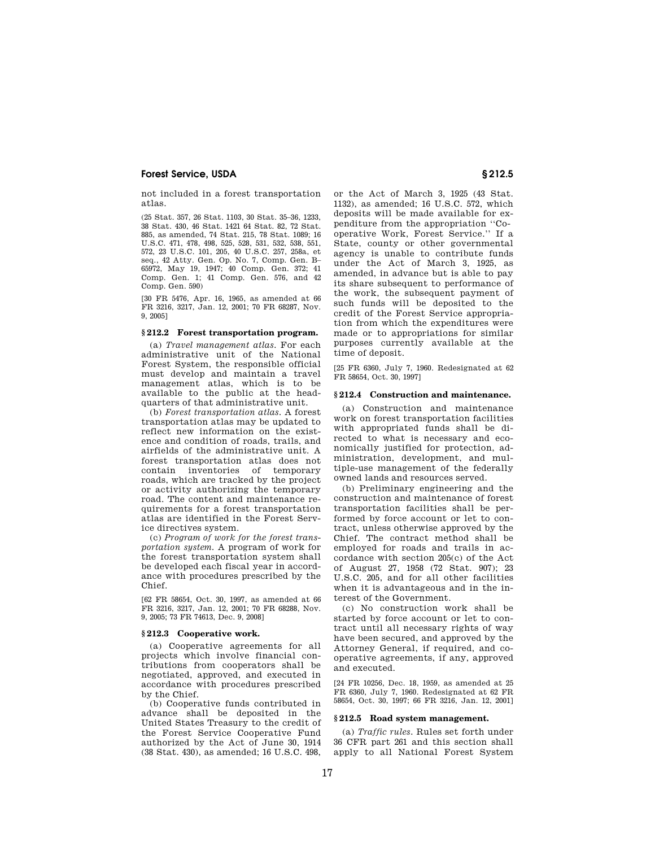not included in a forest transportation atlas.

(25 Stat. 357, 26 Stat. 1103, 30 Stat. 35–36, 1233, 38 Stat. 430, 46 Stat. 1421 64 Stat. 82, 72 Stat. 885, as amended, 74 Stat. 215, 78 Stat. 1089; 16 U.S.C. 471, 478, 498, 525, 528, 531, 532, 538, 551, 572, 23 U.S.C. 101, 205, 40 U.S.C. 257, 258a, et seq., 42 Atty. Gen. Op. No. 7, Comp. Gen. B– 65972, May 19, 1947; 40 Comp. Gen. 372; 41 Comp. Gen. 1; 41 Comp. Gen. 576, and 42 Comp. Gen. 590)

[30 FR 5476, Apr. 16, 1965, as amended at 66 FR 3216, 3217, Jan. 12, 2001; 70 FR 68287, Nov. 9, 2005]

#### **§ 212.2 Forest transportation program.**

(a) *Travel management atlas.* For each administrative unit of the National Forest System, the responsible official must develop and maintain a travel management atlas, which is to be available to the public at the headquarters of that administrative unit.

(b) *Forest transportation atlas.* A forest transportation atlas may be updated to reflect new information on the existence and condition of roads, trails, and airfields of the administrative unit. A forest transportation atlas does not contain inventories of temporary roads, which are tracked by the project or activity authorizing the temporary road. The content and maintenance requirements for a forest transportation atlas are identified in the Forest Service directives system.

(c) *Program of work for the forest transportation system.* A program of work for the forest transportation system shall be developed each fiscal year in accordance with procedures prescribed by the Chief.

[62 FR 58654, Oct. 30, 1997, as amended at 66 FR 3216, 3217, Jan. 12, 2001; 70 FR 68288, Nov. 9, 2005; 73 FR 74613, Dec. 9, 2008]

#### **§ 212.3 Cooperative work.**

(a) Cooperative agreements for all projects which involve financial contributions from cooperators shall be negotiated, approved, and executed in accordance with procedures prescribed by the Chief.

(b) Cooperative funds contributed in advance shall be deposited in the United States Treasury to the credit of the Forest Service Cooperative Fund authorized by the Act of June 30, 1914 (38 Stat. 430), as amended; 16 U.S.C. 498,

or the Act of March 3, 1925 (43 Stat. 1132), as amended; 16 U.S.C. 572, which deposits will be made available for expenditure from the appropriation ''Cooperative Work, Forest Service.'' If a State, county or other governmental agency is unable to contribute funds under the Act of March 3, 1925, as amended, in advance but is able to pay its share subsequent to performance of the work, the subsequent payment of such funds will be deposited to the credit of the Forest Service appropriation from which the expenditures were made or to appropriations for similar purposes currently available at the time of deposit.

[25 FR 6360, July 7, 1960. Redesignated at 62 FR 58654, Oct. 30, 1997]

## **§ 212.4 Construction and maintenance.**

(a) Construction and maintenance work on forest transportation facilities with appropriated funds shall be directed to what is necessary and economically justified for protection, administration, development, and multiple-use management of the federally owned lands and resources served.

(b) Preliminary engineering and the construction and maintenance of forest transportation facilities shall be performed by force account or let to contract, unless otherwise approved by the Chief. The contract method shall be employed for roads and trails in accordance with section 205(c) of the Act of August 27, 1958 (72 Stat. 907); 23 U.S.C. 205, and for all other facilities when it is advantageous and in the interest of the Government.

(c) No construction work shall be started by force account or let to contract until all necessary rights of way have been secured, and approved by the Attorney General, if required, and cooperative agreements, if any, approved and executed.

[24 FR 10256, Dec. 18, 1959, as amended at 25 FR 6360, July 7, 1960. Redesignated at 62 FR 58654, Oct. 30, 1997; 66 FR 3216, Jan. 12, 2001]

#### **§ 212.5 Road system management.**

(a) *Traffic rules.* Rules set forth under 36 CFR part 261 and this section shall apply to all National Forest System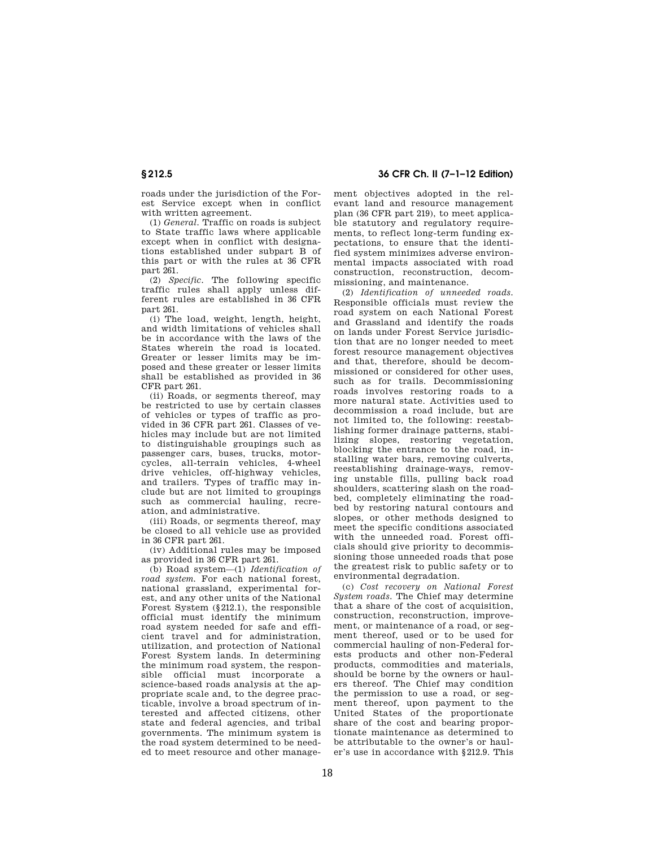roads under the jurisdiction of the Forest Service except when in conflict with written agreement.

(1) *General.* Traffic on roads is subject to State traffic laws where applicable except when in conflict with designations established under subpart B of this part or with the rules at 36 CFR part 261.

(2) *Specific.* The following specific traffic rules shall apply unless different rules are established in 36 CFR part 261.

(i) The load, weight, length, height, and width limitations of vehicles shall be in accordance with the laws of the States wherein the road is located. Greater or lesser limits may be imposed and these greater or lesser limits shall be established as provided in 36 CFR part 261.

(ii) Roads, or segments thereof, may be restricted to use by certain classes of vehicles or types of traffic as provided in 36 CFR part 261. Classes of vehicles may include but are not limited to distinguishable groupings such as passenger cars, buses, trucks, motorcycles, all-terrain vehicles, 4-wheel drive vehicles, off-highway vehicles, and trailers. Types of traffic may include but are not limited to groupings such as commercial hauling, recreation, and administrative.

(iii) Roads, or segments thereof, may be closed to all vehicle use as provided in 36 CFR part 261.

(iv) Additional rules may be imposed as provided in 36 CFR part 261.

(b) Road system—(1) *Identification of road system.* For each national forest, national grassland, experimental forest, and any other units of the National Forest System (§212.1), the responsible official must identify the minimum road system needed for safe and efficient travel and for administration, utilization, and protection of National Forest System lands. In determining the minimum road system, the responsible official must incorporate a science-based roads analysis at the appropriate scale and, to the degree practicable, involve a broad spectrum of interested and affected citizens, other state and federal agencies, and tribal governments. The minimum system is the road system determined to be needed to meet resource and other manage-

**§ 212.5 36 CFR Ch. II (7–1–12 Edition)** 

ment objectives adopted in the relevant land and resource management plan (36 CFR part 219), to meet applicable statutory and regulatory requirements, to reflect long-term funding expectations, to ensure that the identified system minimizes adverse environmental impacts associated with road construction, reconstruction, decommissioning, and maintenance.

(2) *Identification of unneeded roads.*  Responsible officials must review the road system on each National Forest and Grassland and identify the roads on lands under Forest Service jurisdiction that are no longer needed to meet forest resource management objectives and that, therefore, should be decommissioned or considered for other uses, such as for trails. Decommissioning roads involves restoring roads to a more natural state. Activities used to decommission a road include, but are not limited to, the following: reestablishing former drainage patterns, stabilizing slopes, restoring vegetation, blocking the entrance to the road, installing water bars, removing culverts, reestablishing drainage-ways, removing unstable fills, pulling back road shoulders, scattering slash on the roadbed, completely eliminating the roadbed by restoring natural contours and slopes, or other methods designed to meet the specific conditions associated with the unneeded road. Forest officials should give priority to decommissioning those unneeded roads that pose the greatest risk to public safety or to environmental degradation.

(c) *Cost recovery on National Forest System roads.* The Chief may determine that a share of the cost of acquisition, construction, reconstruction, improvement, or maintenance of a road, or segment thereof, used or to be used for commercial hauling of non-Federal forests products and other non-Federal products, commodities and materials, should be borne by the owners or haulers thereof. The Chief may condition the permission to use a road, or segment thereof, upon payment to the United States of the proportionate share of the cost and bearing proportionate maintenance as determined to be attributable to the owner's or hauler's use in accordance with §212.9. This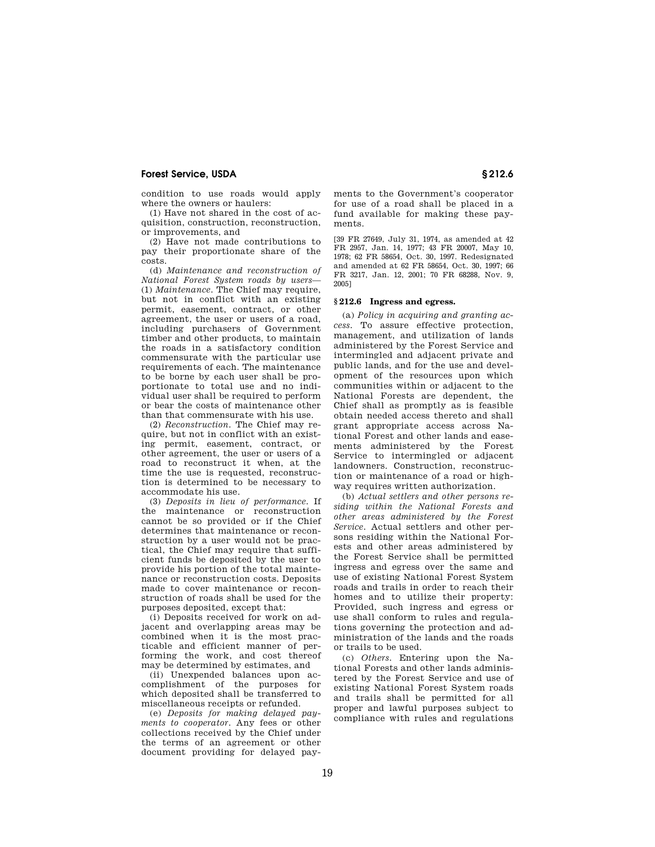condition to use roads would apply where the owners or haulers:

(1) Have not shared in the cost of acquisition, construction, reconstruction, or improvements, and

(2) Have not made contributions to pay their proportionate share of the costs.

(d) *Maintenance and reconstruction of National Forest System roads by users*— (1) *Maintenance.* The Chief may require, but not in conflict with an existing permit, easement, contract, or other agreement, the user or users of a road, including purchasers of Government timber and other products, to maintain the roads in a satisfactory condition commensurate with the particular use requirements of each. The maintenance to be borne by each user shall be proportionate to total use and no individual user shall be required to perform or bear the costs of maintenance other than that commensurate with his use.

(2) *Reconstruction.* The Chief may require, but not in conflict with an existing permit, easement, contract, or other agreement, the user or users of a road to reconstruct it when, at the time the use is requested, reconstruction is determined to be necessary to accommodate his use.

(3) *Deposits in lieu of performance.* If the maintenance or reconstruction cannot be so provided or if the Chief determines that maintenance or reconstruction by a user would not be practical, the Chief may require that sufficient funds be deposited by the user to provide his portion of the total maintenance or reconstruction costs. Deposits made to cover maintenance or reconstruction of roads shall be used for the purposes deposited, except that:

(i) Deposits received for work on adjacent and overlapping areas may be combined when it is the most practicable and efficient manner of performing the work, and cost thereof may be determined by estimates, and

(ii) Unexpended balances upon accomplishment of the purposes for which deposited shall be transferred to miscellaneous receipts or refunded.

(e) *Deposits for making delayed payments to cooperator.* Any fees or other collections received by the Chief under the terms of an agreement or other document providing for delayed payments to the Government's cooperator for use of a road shall be placed in a fund available for making these payments.

[39 FR 27649, July 31, 1974, as amended at 42 FR 2957, Jan. 14, 1977; 43 FR 20007, May 10, 1978; 62 FR 58654, Oct. 30, 1997. Redesignated and amended at 62 FR 58654, Oct. 30, 1997; 66 FR 3217, Jan. 12, 2001; 70 FR 68288, Nov. 9, 2005]

# **§ 212.6 Ingress and egress.**

(a) *Policy in acquiring and granting access.* To assure effective protection, management, and utilization of lands administered by the Forest Service and intermingled and adjacent private and public lands, and for the use and development of the resources upon which communities within or adjacent to the National Forests are dependent, the Chief shall as promptly as is feasible obtain needed access thereto and shall grant appropriate access across National Forest and other lands and easements administered by the Forest Service to intermingled or adjacent landowners. Construction, reconstruction or maintenance of a road or highway requires written authorization.

(b) *Actual settlers and other persons residing within the National Forests and other areas administered by the Forest Service.* Actual settlers and other persons residing within the National Forests and other areas administered by the Forest Service shall be permitted ingress and egress over the same and use of existing National Forest System roads and trails in order to reach their homes and to utilize their property: Provided, such ingress and egress or use shall conform to rules and regulations governing the protection and administration of the lands and the roads or trails to be used.

(c) *Others.* Entering upon the National Forests and other lands administered by the Forest Service and use of existing National Forest System roads and trails shall be permitted for all proper and lawful purposes subject to compliance with rules and regulations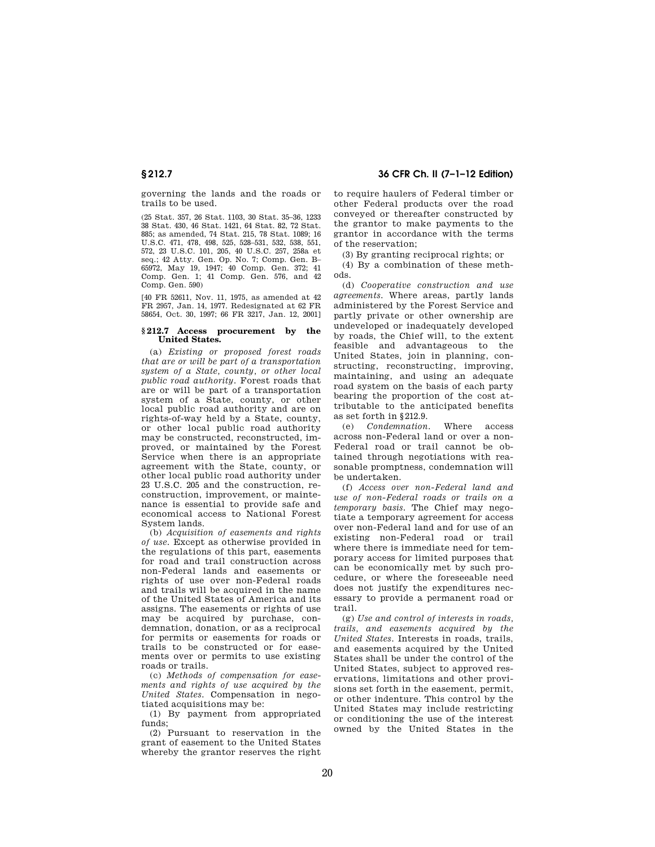# **§ 212.7 36 CFR Ch. II (7–1–12 Edition)**

governing the lands and the roads or trails to be used.

(25 Stat. 357, 26 Stat. 1103, 30 Stat. 35–36, 1233 38 Stat. 430, 46 Stat. 1421, 64 Stat. 82, 72 Stat. 885; as amended, 74 Stat. 215, 78 Stat. 1089; 16 U.S.C. 471, 478, 498, 525, 528–531, 532, 538, 551, 572, 23 U.S.C. 101, 205, 40 U.S.C. 257, 258a et seq.; 42 Atty. Gen. Op. No. 7; Comp. Gen. B– 65972, May 19, 1947; 40 Comp. Gen. 372; 41 Comp. Gen. 1; 41 Comp. Gen. 576, and 42 Comp. Gen. 590)

[40 FR 52611, Nov. 11, 1975, as amended at 42 FR 2957, Jan. 14, 1977. Redesignated at 62 FR 58654, Oct. 30, 1997; 66 FR 3217, Jan. 12, 2001]

#### **§ 212.7 Access procurement by the United States.**

(a) *Existing or proposed forest roads that are or will be part of a transportation system of a State, county, or other local public road authority.* Forest roads that are or will be part of a transportation system of a State, county, or other local public road authority and are on rights-of-way held by a State, county, or other local public road authority may be constructed, reconstructed, improved, or maintained by the Forest Service when there is an appropriate agreement with the State, county, or other local public road authority under 23 U.S.C. 205 and the construction, reconstruction, improvement, or maintenance is essential to provide safe and economical access to National Forest System lands.

(b) *Acquisition of easements and rights of use.* Except as otherwise provided in the regulations of this part, easements for road and trail construction across non-Federal lands and easements or rights of use over non-Federal roads and trails will be acquired in the name of the United States of America and its assigns. The easements or rights of use may be acquired by purchase, condemnation, donation, or as a reciprocal for permits or easements for roads or trails to be constructed or for easements over or permits to use existing roads or trails.

(c) *Methods of compensation for easements and rights of use acquired by the United States.* Compensation in negotiated acquisitions may be:

(1) By payment from appropriated funds;

(2) Pursuant to reservation in the grant of easement to the United States whereby the grantor reserves the right to require haulers of Federal timber or other Federal products over the road conveyed or thereafter constructed by the grantor to make payments to the grantor in accordance with the terms of the reservation;

(3) By granting reciprocal rights; or

(4) By a combination of these methods.

(d) *Cooperative construction and use agreements.* Where areas, partly lands administered by the Forest Service and partly private or other ownership are undeveloped or inadequately developed by roads, the Chief will, to the extent feasible and advantageous to the United States, join in planning, constructing, reconstructing, improving, maintaining, and using an adequate road system on the basis of each party bearing the proportion of the cost attributable to the anticipated benefits as set forth in §212.9.

(e) *Condemnation.* Where access across non-Federal land or over a non-Federal road or trail cannot be obtained through negotiations with reasonable promptness, condemnation will be undertaken.

(f) *Access over non-Federal land and use of non-Federal roads or trails on a temporary basis.* The Chief may negotiate a temporary agreement for access over non-Federal land and for use of an existing non-Federal road or trail where there is immediate need for temporary access for limited purposes that can be economically met by such procedure, or where the foreseeable need does not justify the expenditures necessary to provide a permanent road or trail.

(g) *Use and control of interests in roads, trails, and easements acquired by the United States.* Interests in roads, trails, and easements acquired by the United States shall be under the control of the United States, subject to approved reservations, limitations and other provisions set forth in the easement, permit, or other indenture. This control by the United States may include restricting or conditioning the use of the interest owned by the United States in the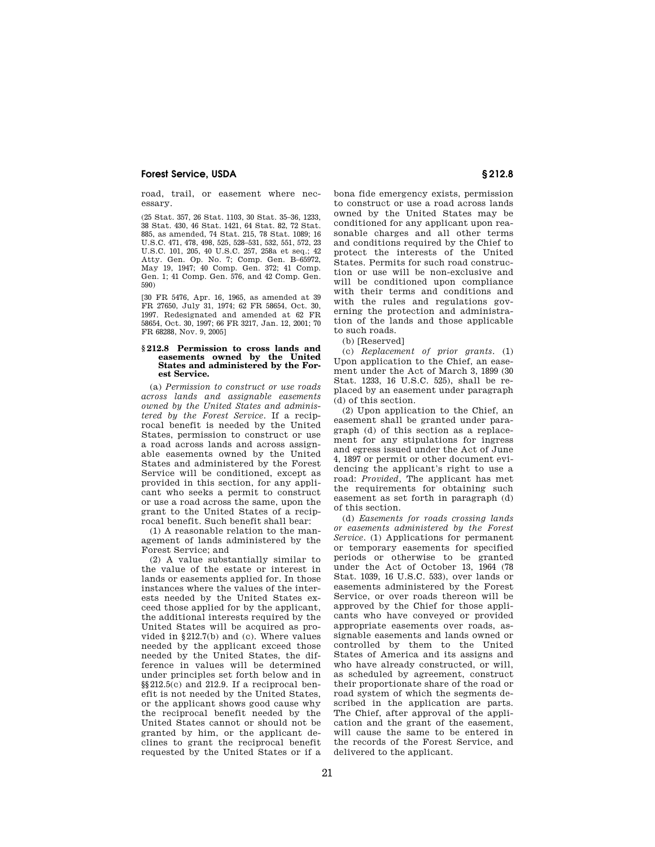road, trail, or easement where necessary.

(25 Stat. 357, 26 Stat. 1103, 30 Stat. 35–36, 1233, 38 Stat. 430, 46 Stat. 1421, 64 Stat. 82, 72 Stat. 885, as amended, 74 Stat. 215, 78 Stat. 1089; 16 U.S.C. 471, 478, 498, 525, 528–531, 532, 551, 572, 23 U.S.C. 101, 205, 40 U.S.C. 257, 258a et seq.; 42 Atty. Gen. Op. No. 7; Comp. Gen. B–65972, May 19, 1947; 40 Comp. Gen. 372; 41 Comp. Gen. 1; 41 Comp. Gen. 576, and 42 Comp. Gen. 590)

[30 FR 5476, Apr. 16, 1965, as amended at 39 FR 27650, July 31, 1974; 62 FR 58654, Oct. 30, 1997. Redesignated and amended at 62 FR 58654, Oct. 30, 1997; 66 FR 3217, Jan. 12, 2001; 70 FR 68288, Nov. 9, 2005]

#### **§ 212.8 Permission to cross lands and easements owned by the United States and administered by the Forest Service.**

(a) *Permission to construct or use roads across lands and assignable easements owned by the United States and administered by the Forest Service.* If a reciprocal benefit is needed by the United States, permission to construct or use a road across lands and across assignable easements owned by the United States and administered by the Forest Service will be conditioned, except as provided in this section, for any applicant who seeks a permit to construct or use a road across the same, upon the grant to the United States of a reciprocal benefit. Such benefit shall bear:

(1) A reasonable relation to the management of lands administered by the Forest Service; and

(2) A value substantially similar to the value of the estate or interest in lands or easements applied for. In those instances where the values of the interests needed by the United States exceed those applied for by the applicant, the additional interests required by the United States will be acquired as provided in §212.7(b) and (c). Where values needed by the applicant exceed those needed by the United States, the difference in values will be determined under principles set forth below and in  $\S$ [212.5(c) and 212.9. If a reciprocal benefit is not needed by the United States, or the applicant shows good cause why the reciprocal benefit needed by the United States cannot or should not be granted by him, or the applicant declines to grant the reciprocal benefit requested by the United States or if a bona fide emergency exists, permission to construct or use a road across lands owned by the United States may be conditioned for any applicant upon reasonable charges and all other terms and conditions required by the Chief to protect the interests of the United States. Permits for such road construction or use will be non-exclusive and will be conditioned upon compliance with their terms and conditions and with the rules and regulations governing the protection and administration of the lands and those applicable to such roads.

(b) [Reserved]

(c) *Replacement of prior grants.* (1) Upon application to the Chief, an easement under the Act of March 3, 1899 (30 Stat. 1233, 16 U.S.C. 525), shall be replaced by an easement under paragraph (d) of this section.

(2) Upon application to the Chief, an easement shall be granted under paragraph (d) of this section as a replacement for any stipulations for ingress and egress issued under the Act of June 4, 1897 or permit or other document evidencing the applicant's right to use a road: *Provided,* The applicant has met the requirements for obtaining such easement as set forth in paragraph (d) of this section.

(d) *Easements for roads crossing lands or easements administered by the Forest Service.* (1) Applications for permanent or temporary easements for specified periods or otherwise to be granted under the Act of October 13, 1964 (78 Stat. 1039, 16 U.S.C. 533), over lands or easements administered by the Forest Service, or over roads thereon will be approved by the Chief for those applicants who have conveyed or provided appropriate easements over roads, assignable easements and lands owned or controlled by them to the United States of America and its assigns and who have already constructed, or will, as scheduled by agreement, construct their proportionate share of the road or road system of which the segments described in the application are parts. The Chief, after approval of the application and the grant of the easement, will cause the same to be entered in the records of the Forest Service, and delivered to the applicant.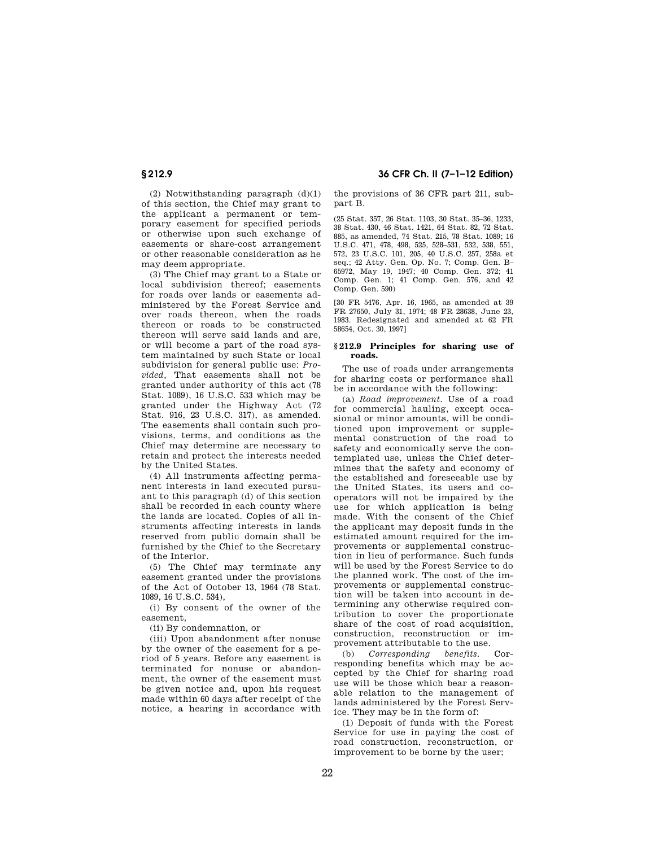(2) Notwithstanding paragraph (d)(1) of this section, the Chief may grant to the applicant a permanent or temporary easement for specified periods or otherwise upon such exchange of easements or share-cost arrangement or other reasonable consideration as he may deem appropriate.

(3) The Chief may grant to a State or local subdivision thereof; easements for roads over lands or easements administered by the Forest Service and over roads thereon, when the roads thereon or roads to be constructed thereon will serve said lands and are, or will become a part of the road system maintained by such State or local subdivision for general public use: *Provided,* That easements shall not be granted under authority of this act (78 Stat. 1089), 16 U.S.C. 533 which may be granted under the Highway Act (72 Stat. 916, 23 U.S.C. 317), as amended. The easements shall contain such provisions, terms, and conditions as the Chief may determine are necessary to retain and protect the interests needed by the United States.

(4) All instruments affecting permanent interests in land executed pursuant to this paragraph (d) of this section shall be recorded in each county where the lands are located. Copies of all instruments affecting interests in lands reserved from public domain shall be furnished by the Chief to the Secretary of the Interior.

(5) The Chief may terminate any easement granted under the provisions of the Act of October 13, 1964 (78 Stat. 1089, 16 U.S.C. 534),

(i) By consent of the owner of the easement,

(ii) By condemnation, or

(iii) Upon abandonment after nonuse by the owner of the easement for a period of 5 years. Before any easement is terminated for nonuse or abandonment, the owner of the easement must be given notice and, upon his request made within 60 days after receipt of the notice, a hearing in accordance with

# **§ 212.9 36 CFR Ch. II (7–1–12 Edition)**

the provisions of 36 CFR part 211, subpart B.

(25 Stat. 357, 26 Stat. 1103, 30 Stat. 35–36, 1233, 38 Stat. 430, 46 Stat. 1421, 64 Stat. 82, 72 Stat. 885, as amended, 74 Stat. 215, 78 Stat. 1089; 16 U.S.C. 471, 478, 498, 525, 528–531, 532, 538, 551, 572, 23 U.S.C. 101, 205, 40 U.S.C. 257, 258a et seq.; 42 Atty. Gen. Op. No. 7; Comp. Gen. B– 65972, May 19, 1947; 40 Comp. Gen. 372; 41 Comp. Gen. 1; 41 Comp. Gen. 576, and 42 Comp. Gen. 590)

[30 FR 5476, Apr. 16, 1965, as amended at 39 FR 27650, July 31, 1974; 48 FR 28638, June 23, 1983. Redesignated and amended at 62 FR 58654, Oct. 30, 1997]

### **§ 212.9 Principles for sharing use of roads.**

The use of roads under arrangements for sharing costs or performance shall be in accordance with the following:

(a) *Road improvement.* Use of a road for commercial hauling, except occasional or minor amounts, will be conditioned upon improvement or supplemental construction of the road to safety and economically serve the contemplated use, unless the Chief determines that the safety and economy of the established and foreseeable use by the United States, its users and cooperators will not be impaired by the use for which application is being made. With the consent of the Chief the applicant may deposit funds in the estimated amount required for the improvements or supplemental construction in lieu of performance. Such funds will be used by the Forest Service to do the planned work. The cost of the improvements or supplemental construction will be taken into account in determining any otherwise required contribution to cover the proportionate share of the cost of road acquisition, construction, reconstruction or improvement attributable to the use.

(b) *Corresponding benefits.* Corresponding benefits which may be accepted by the Chief for sharing road use will be those which bear a reasonable relation to the management of lands administered by the Forest Service. They may be in the form of:

(1) Deposit of funds with the Forest Service for use in paying the cost of road construction, reconstruction, or improvement to be borne by the user;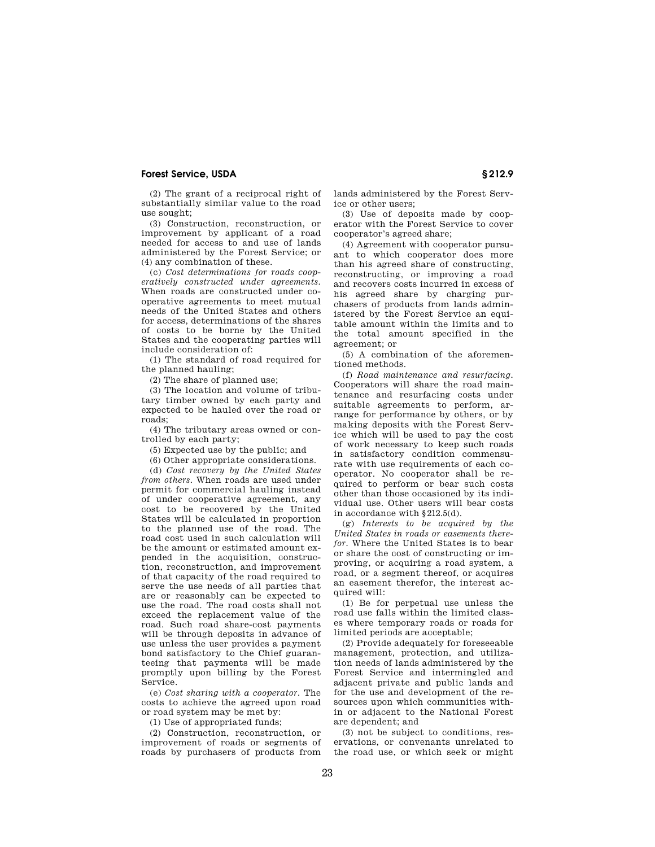(2) The grant of a reciprocal right of substantially similar value to the road use sought;

(3) Construction, reconstruction, or improvement by applicant of a road needed for access to and use of lands administered by the Forest Service; or (4) any combination of these.

(c) *Cost determinations for roads cooperatively constructed under agreements.*  When roads are constructed under cooperative agreements to meet mutual needs of the United States and others for access, determinations of the shares of costs to be borne by the United States and the cooperating parties will include consideration of:

(1) The standard of road required for the planned hauling;

(2) The share of planned use;

(3) The location and volume of tributary timber owned by each party and expected to be hauled over the road or roads;

(4) The tributary areas owned or controlled by each party;

(5) Expected use by the public; and

(6) Other appropriate considerations.

(d) *Cost recovery by the United States from others.* When roads are used under permit for commercial hauling instead of under cooperative agreement, any cost to be recovered by the United States will be calculated in proportion to the planned use of the road. The road cost used in such calculation will be the amount or estimated amount expended in the acquisition, construction, reconstruction, and improvement of that capacity of the road required to serve the use needs of all parties that are or reasonably can be expected to use the road. The road costs shall not exceed the replacement value of the road. Such road share-cost payments will be through deposits in advance of use unless the user provides a payment bond satisfactory to the Chief guaranteeing that payments will be made promptly upon billing by the Forest Service.

(e) *Cost sharing with a cooperator.* The costs to achieve the agreed upon road or road system may be met by:

(1) Use of appropriated funds;

(2) Construction, reconstruction, or improvement of roads or segments of roads by purchasers of products from

lands administered by the Forest Service or other users;

(3) Use of deposits made by cooperator with the Forest Service to cover cooperator's agreed share;

(4) Agreement with cooperator pursuant to which cooperator does more than his agreed share of constructing, reconstructing, or improving a road and recovers costs incurred in excess of his agreed share by charging purchasers of products from lands administered by the Forest Service an equitable amount within the limits and to the total amount specified in the agreement; or

(5) A combination of the aforementioned methods.

(f) *Road maintenance and resurfacing.*  Cooperators will share the road maintenance and resurfacing costs under suitable agreements to perform, arrange for performance by others, or by making deposits with the Forest Service which will be used to pay the cost of work necessary to keep such roads in satisfactory condition commensurate with use requirements of each cooperator. No cooperator shall be required to perform or bear such costs other than those occasioned by its individual use. Other users will bear costs in accordance with §212.5(d).

(g) *Interests to be acquired by the United States in roads or easements therefor.* Where the United States is to bear or share the cost of constructing or improving, or acquiring a road system, a road, or a segment thereof, or acquires an easement therefor, the interest acquired will:

(1) Be for perpetual use unless the road use falls within the limited classes where temporary roads or roads for limited periods are acceptable;

(2) Provide adequately for foreseeable management, protection, and utilization needs of lands administered by the Forest Service and intermingled and adjacent private and public lands and for the use and development of the resources upon which communities within or adjacent to the National Forest are dependent; and

(3) not be subject to conditions, reservations, or convenants unrelated to the road use, or which seek or might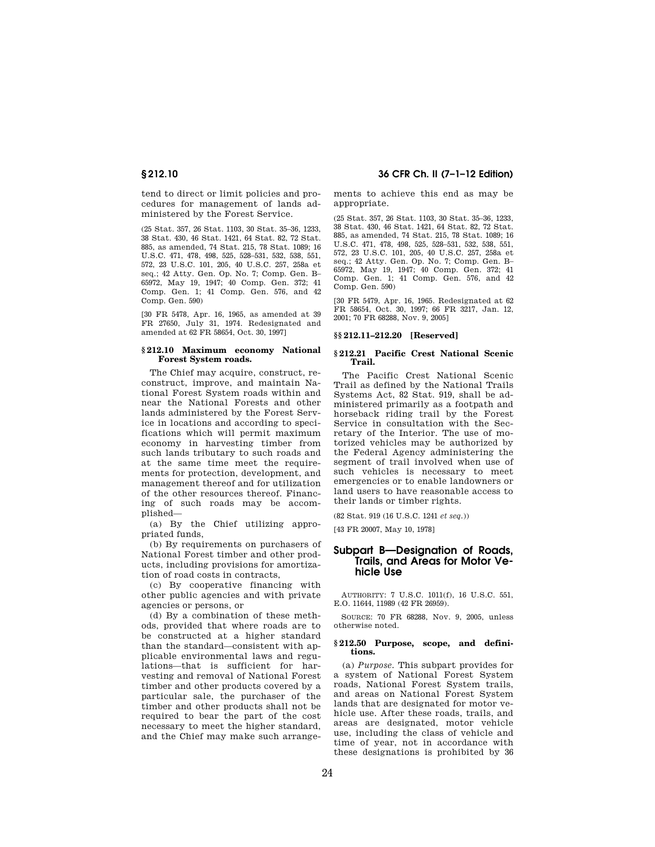tend to direct or limit policies and procedures for management of lands administered by the Forest Service.

(25 Stat. 357, 26 Stat. 1103, 30 Stat. 35–36, 1233, 38 Stat. 430, 46 Stat. 1421, 64 Stat. 82, 72 Stat. 885, as amended, 74 Stat. 215, 78 Stat. 1089; 16 U.S.C. 471, 478, 498, 525, 528–531, 532, 538, 551, 572, 23 U.S.C. 101, 205, 40 U.S.C. 257, 258a et seq.; 42 Atty. Gen. Op. No. 7; Comp. Gen. B– 65972, May 19, 1947; 40 Comp. Gen. 372; 41 Comp. Gen. 1; 41 Comp. Gen. 576, and 42 Comp. Gen. 590)

[30 FR 5478, Apr. 16, 1965, as amended at 39 FR 27650, July 31, 1974. Redesignated and amended at 62 FR 58654, Oct. 30, 1997]

#### **§ 212.10 Maximum economy National Forest System roads.**

The Chief may acquire, construct, reconstruct, improve, and maintain National Forest System roads within and near the National Forests and other lands administered by the Forest Service in locations and according to specifications which will permit maximum economy in harvesting timber from such lands tributary to such roads and at the same time meet the requirements for protection, development, and management thereof and for utilization of the other resources thereof. Financing of such roads may be accomplished—

(a) By the Chief utilizing appropriated funds,

(b) By requirements on purchasers of National Forest timber and other products, including provisions for amortization of road costs in contracts,

(c) By cooperative financing with other public agencies and with private agencies or persons, or

(d) By a combination of these methods, provided that where roads are to be constructed at a higher standard than the standard—consistent with applicable environmental laws and regulations—that is sufficient for harvesting and removal of National Forest timber and other products covered by a particular sale, the purchaser of the timber and other products shall not be required to bear the part of the cost necessary to meet the higher standard, and the Chief may make such arrange-

# **§ 212.10 36 CFR Ch. II (7–1–12 Edition)**

ments to achieve this end as may be appropriate.

(25 Stat. 357, 26 Stat. 1103, 30 Stat. 35–36, 1233, 38 Stat. 430, 46 Stat. 1421, 64 Stat. 82, 72 Stat. 885, as amended, 74 Stat. 215, 78 Stat. 1089; 16 U.S.C. 471, 478, 498, 525, 528–531, 532, 538, 551, 572, 23 U.S.C. 101, 205, 40 U.S.C. 257, 258a et seq.; 42 Atty. Gen. Op. No. 7; Comp. Gen. B– 65972, May 19, 1947; 40 Comp. Gen. 372; 41 Comp. Gen. 1; 41 Comp. Gen. 576, and 42 Comp. Gen. 590)

[30 FR 5479, Apr. 16, 1965. Redesignated at 62 FR 58654, Oct. 30, 1997; 66 FR 3217, Jan. 12, 2001; 70 FR 68288, Nov. 9, 2005]

## **§§ 212.11–212.20 [Reserved]**

#### **§ 212.21 Pacific Crest National Scenic Trail.**

The Pacific Crest National Scenic Trail as defined by the National Trails Systems Act, 82 Stat. 919, shall be administered primarily as a footpath and horseback riding trail by the Forest Service in consultation with the Secretary of the Interior. The use of motorized vehicles may be authorized by the Federal Agency administering the segment of trail involved when use of such vehicles is necessary to meet emergencies or to enable landowners or land users to have reasonable access to their lands or timber rights.

(82 Stat. 919 (16 U.S.C. 1241 *et seq.*))

[43 FR 20007, May 10, 1978]

# **Subpart B—Designation of Roads, Trails, and Areas for Motor Vehicle Use**

AUTHORITY: 7 U.S.C. 1011(f), 16 U.S.C. 551, E.O. 11644, 11989 (42 FR 26959).

SOURCE: 70 FR 68288, Nov. 9, 2005, unless otherwise noted.

#### **§ 212.50 Purpose, scope, and definitions.**

(a) *Purpose.* This subpart provides for a system of National Forest System roads, National Forest System trails, and areas on National Forest System lands that are designated for motor vehicle use. After these roads, trails, and areas are designated, motor vehicle use, including the class of vehicle and time of year, not in accordance with these designations is prohibited by 36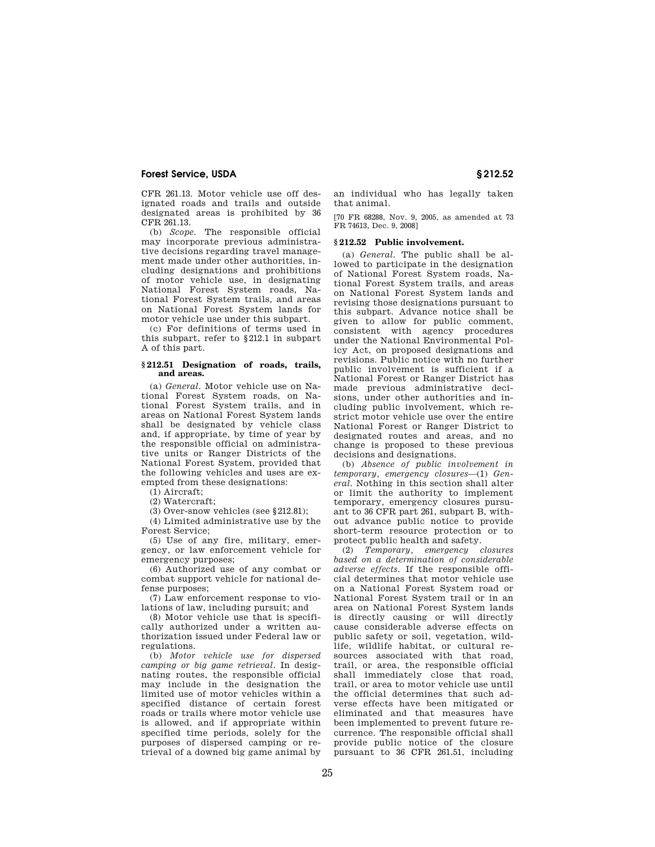CFR 261.13. Motor vehicle use off designated roads and trails and outside designated areas is prohibited by 36 CFR 261.13.

(b) *Scope.* The responsible official may incorporate previous administrative decisions regarding travel management made under other authorities, including designations and prohibitions of motor vehicle use, in designating National Forest System roads, National Forest System trails, and areas on National Forest System lands for motor vehicle use under this subpart.

(c) For definitions of terms used in this subpart, refer to §212.1 in subpart A of this part.

## **§ 212.51 Designation of roads, trails, and areas.**

(a) *General.* Motor vehicle use on National Forest System roads, on National Forest System trails, and in areas on National Forest System lands shall be designated by vehicle class and, if appropriate, by time of year by the responsible official on administrative units or Ranger Districts of the National Forest System, provided that the following vehicles and uses are exempted from these designations:

(1) Aircraft;

 $(2)$  Watercraft;

(3) Over-snow vehicles (see §212.81);

(4) Limited administrative use by the Forest Service;

(5) Use of any fire, military, emergency, or law enforcement vehicle for emergency purposes;

(6) Authorized use of any combat or combat support vehicle for national defense purposes;

(7) Law enforcement response to violations of law, including pursuit; and

(8) Motor vehicle use that is specifically authorized under a written authorization issued under Federal law or regulations.

(b) *Motor vehicle use for dispersed camping or big game retrieval*. In designating routes, the responsible official may include in the designation the limited use of motor vehicles within a specified distance of certain forest roads or trails where motor vehicle use is allowed, and if appropriate within specified time periods, solely for the purposes of dispersed camping or retrieval of a downed big game animal by

an individual who has legally taken that animal.

[70 FR 68288, Nov. 9, 2005, as amended at 73 FR 74613, Dec. 9, 2008]

## **§ 212.52 Public involvement.**

(a) *General.* The public shall be allowed to participate in the designation of National Forest System roads, National Forest System trails, and areas on National Forest System lands and revising those designations pursuant to this subpart. Advance notice shall be given to allow for public comment, consistent with agency procedures under the National Environmental Policy Act, on proposed designations and revisions. Public notice with no further public involvement is sufficient if a National Forest or Ranger District has made previous administrative decisions, under other authorities and including public involvement, which restrict motor vehicle use over the entire National Forest or Ranger District to designated routes and areas, and no change is proposed to these previous decisions and designations.

(b) *Absence of public involvement in temporary, emergency closures*—(1) *General.* Nothing in this section shall alter or limit the authority to implement temporary, emergency closures pursuant to 36 CFR part 261, subpart B, without advance public notice to provide short-term resource protection or to protect public health and safety.

(2) *Temporary, emergency closures based on a determination of considerable adverse effects.* If the responsible official determines that motor vehicle use on a National Forest System road or National Forest System trail or in an area on National Forest System lands is directly causing or will directly cause considerable adverse effects on public safety or soil, vegetation, wildlife, wildlife habitat, or cultural resources associated with that road, trail, or area, the responsible official shall immediately close that road, trail, or area to motor vehicle use until the official determines that such adverse effects have been mitigated or eliminated and that measures have been implemented to prevent future recurrence. The responsible official shall provide public notice of the closure pursuant to 36 CFR 261.51, including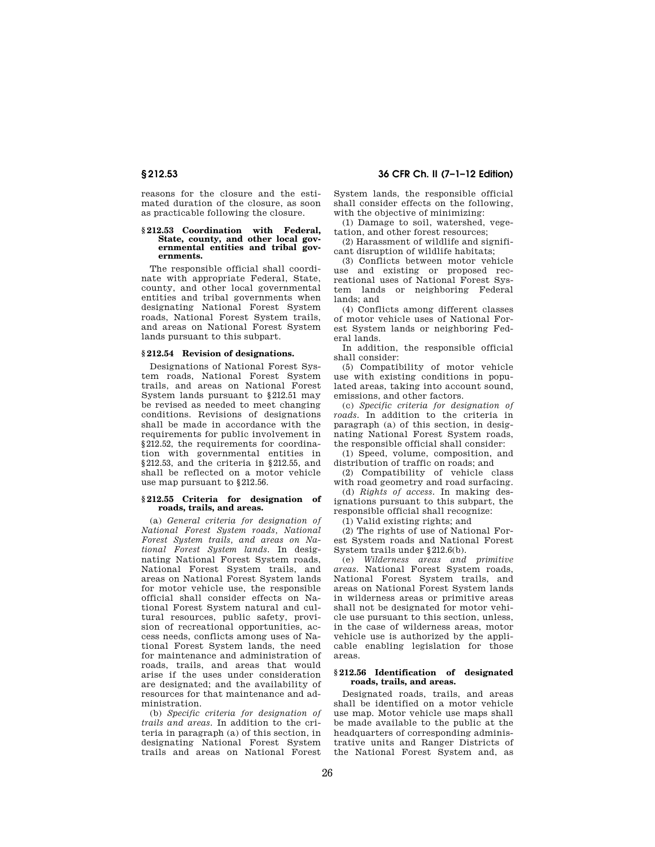reasons for the closure and the estimated duration of the closure, as soon as practicable following the closure.

#### **§ 212.53 Coordination with Federal, State, county, and other local governmental entities and tribal governments.**

The responsible official shall coordinate with appropriate Federal, State, county, and other local governmental entities and tribal governments when designating National Forest System roads, National Forest System trails, and areas on National Forest System lands pursuant to this subpart.

# **§ 212.54 Revision of designations.**

Designations of National Forest System roads, National Forest System trails, and areas on National Forest System lands pursuant to §212.51 may be revised as needed to meet changing conditions. Revisions of designations shall be made in accordance with the requirements for public involvement in §212.52, the requirements for coordination with governmental entities in §212.53, and the criteria in §212.55, and shall be reflected on a motor vehicle use map pursuant to §212.56.

#### **§ 212.55 Criteria for designation of roads, trails, and areas.**

(a) *General criteria for designation of National Forest System roads, National Forest System trails, and areas on National Forest System lands.* In designating National Forest System roads, National Forest System trails, and areas on National Forest System lands for motor vehicle use, the responsible official shall consider effects on National Forest System natural and cultural resources, public safety, provision of recreational opportunities, access needs, conflicts among uses of National Forest System lands, the need for maintenance and administration of roads, trails, and areas that would arise if the uses under consideration are designated; and the availability of resources for that maintenance and administration.

(b) *Specific criteria for designation of trails and areas.* In addition to the criteria in paragraph (a) of this section, in designating National Forest System trails and areas on National Forest

# **§ 212.53 36 CFR Ch. II (7–1–12 Edition)**

System lands, the responsible official shall consider effects on the following, with the objective of minimizing:

(1) Damage to soil, watershed, vegetation, and other forest resources;

(2) Harassment of wildlife and significant disruption of wildlife habitats;

(3) Conflicts between motor vehicle use and existing or proposed recreational uses of National Forest System lands or neighboring Federal lands; and

(4) Conflicts among different classes of motor vehicle uses of National Forest System lands or neighboring Federal lands.

In addition, the responsible official shall consider:

(5) Compatibility of motor vehicle use with existing conditions in populated areas, taking into account sound, emissions, and other factors.

(c) *Specific criteria for designation of roads.* In addition to the criteria in paragraph (a) of this section, in designating National Forest System roads, the responsible official shall consider:

(1) Speed, volume, composition, and distribution of traffic on roads; and

(2) Compatibility of vehicle class with road geometry and road surfacing.

(d) *Rights of access.* In making designations pursuant to this subpart, the responsible official shall recognize:

(1) Valid existing rights; and

(2) The rights of use of National Forest System roads and National Forest System trails under §212.6(b).

(e) *Wilderness areas and primitive areas.* National Forest System roads, National Forest System trails, and areas on National Forest System lands in wilderness areas or primitive areas shall not be designated for motor vehicle use pursuant to this section, unless, in the case of wilderness areas, motor vehicle use is authorized by the applicable enabling legislation for those areas.

### **§ 212.56 Identification of designated roads, trails, and areas.**

Designated roads, trails, and areas shall be identified on a motor vehicle use map. Motor vehicle use maps shall be made available to the public at the headquarters of corresponding administrative units and Ranger Districts of the National Forest System and, as